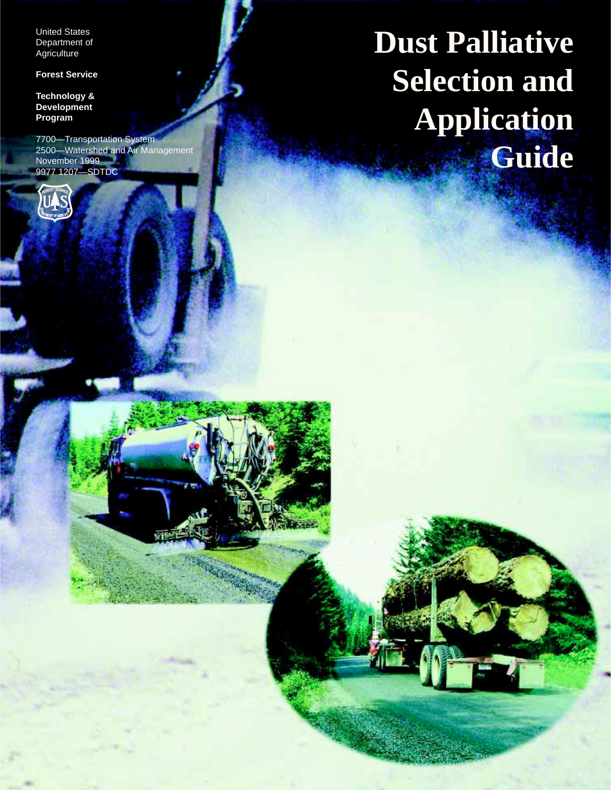United States Department of **Agriculture** 

**Forest Service**

**Technology & Development Program**

7700—Transportation System 2500—Watershed and Air Management November 1999 9977 1207—SDTDC



**Dust Palliative Selection and Application Guide**

i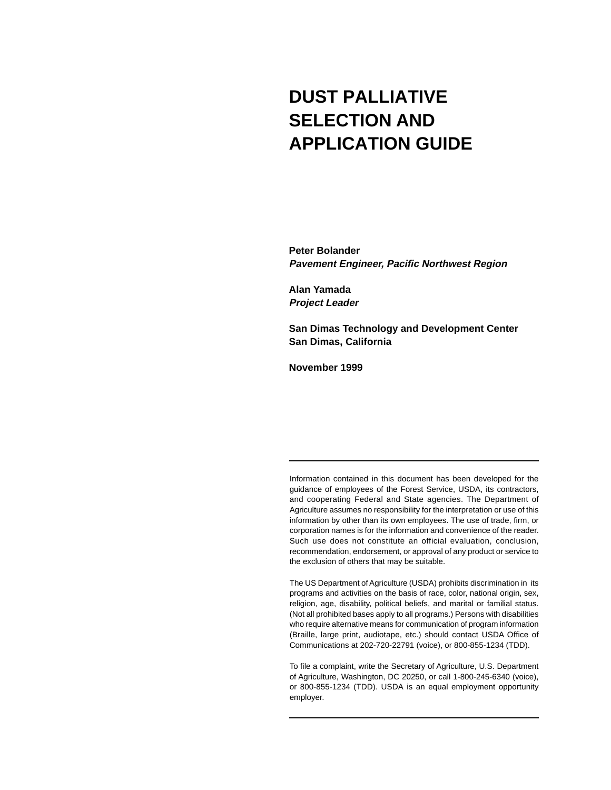# **DUST PALLIATIVE SELECTION AND APPLICATION GUIDE**

**Peter Bolander Pavement Engineer, Pacific Northwest Region**

**Alan Yamada Project Leader**

**San Dimas Technology and Development Center San Dimas, California**

**November 1999**

Information contained in this document has been developed for the guidance of employees of the Forest Service, USDA, its contractors, and cooperating Federal and State agencies. The Department of Agriculture assumes no responsibility for the interpretation or use of this information by other than its own employees. The use of trade, firm, or corporation names is for the information and convenience of the reader. Such use does not constitute an official evaluation, conclusion, recommendation, endorsement, or approval of any product or service to the exclusion of others that may be suitable.

The US Department of Agriculture (USDA) prohibits discrimination in its programs and activities on the basis of race, color, national origin, sex, religion, age, disability, political beliefs, and marital or familial status. (Not all prohibited bases apply to all programs.) Persons with disabilities who require alternative means for communication of program information (Braille, large print, audiotape, etc.) should contact USDA Office of Communications at 202-720-22791 (voice), or 800-855-1234 (TDD).

To file a complaint, write the Secretary of Agriculture, U.S. Department of Agriculture, Washington, DC 20250, or call 1-800-245-6340 (voice), or 800-855-1234 (TDD). USDA is an equal employment opportunity employer.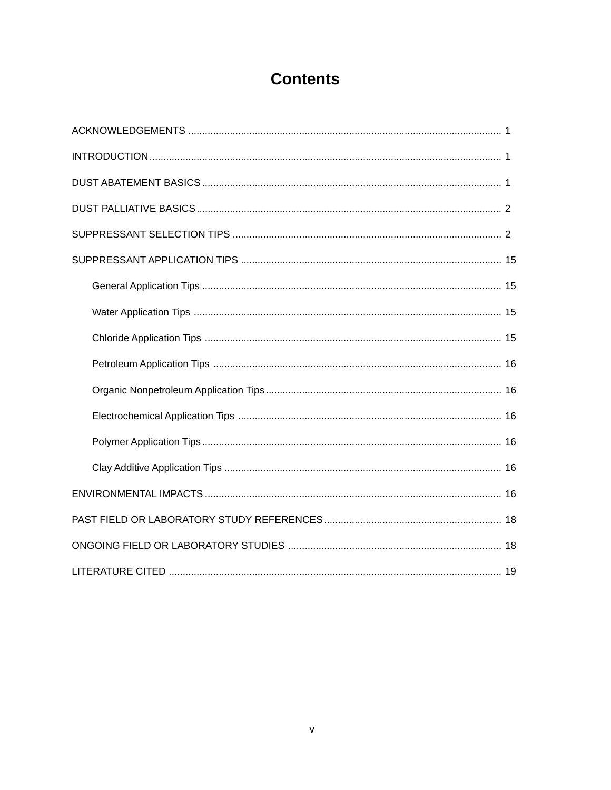# **Contents**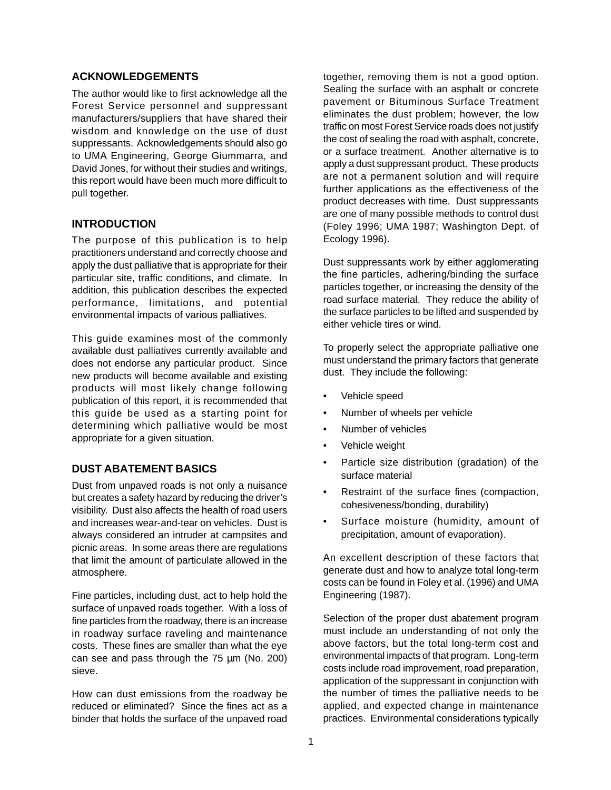#### **ACKNOWLEDGEMENTS**

The author would like to first acknowledge all the Forest Service personnel and suppressant manufacturers/suppliers that have shared their wisdom and knowledge on the use of dust suppressants. Acknowledgements should also go to UMA Engineering, George Giummarra, and David Jones, for without their studies and writings, this report would have been much more difficult to pull together.

#### **INTRODUCTION**

The purpose of this publication is to help practitioners understand and correctly choose and apply the dust palliative that is appropriate for their particular site, traffic conditions, and climate. In addition, this publication describes the expected performance, limitations, and potential environmental impacts of various palliatives.

This guide examines most of the commonly available dust palliatives currently available and does not endorse any particular product. Since new products will become available and existing products will most likely change following publication of this report, it is recommended that this guide be used as a starting point for determining which palliative would be most appropriate for a given situation.

#### **DUST ABATEMENT BASICS**

Dust from unpaved roads is not only a nuisance but creates a safety hazard by reducing the driver's visibility. Dust also affects the health of road users and increases wear-and-tear on vehicles. Dust is always considered an intruder at campsites and picnic areas. In some areas there are regulations that limit the amount of particulate allowed in the atmosphere.

Fine particles, including dust, act to help hold the surface of unpaved roads together. With a loss of fine particles from the roadway, there is an increase in roadway surface raveling and maintenance costs. These fines are smaller than what the eye can see and pass through the 75 µm (No. 200) sieve.

How can dust emissions from the roadway be reduced or eliminated? Since the fines act as a binder that holds the surface of the unpaved road together, removing them is not a good option. Sealing the surface with an asphalt or concrete pavement or Bituminous Surface Treatment eliminates the dust problem; however, the low traffic on most Forest Service roads does not justify the cost of sealing the road with asphalt, concrete, or a surface treatment. Another alternative is to apply a dust suppressant product. These products are not a permanent solution and will require further applications as the effectiveness of the product decreases with time. Dust suppressants are one of many possible methods to control dust (Foley 1996; UMA 1987; Washington Dept. of Ecology 1996).

Dust suppressants work by either agglomerating the fine particles, adhering/binding the surface particles together, or increasing the density of the road surface material. They reduce the ability of the surface particles to be lifted and suspended by either vehicle tires or wind.

To properly select the appropriate palliative one must understand the primary factors that generate dust. They include the following:

- Vehicle speed
- Number of wheels per vehicle
- Number of vehicles
- Vehicle weight
- Particle size distribution (gradation) of the surface material
- Restraint of the surface fines (compaction, cohesiveness/bonding, durability)
- Surface moisture (humidity, amount of precipitation, amount of evaporation).

An excellent description of these factors that generate dust and how to analyze total long-term costs can be found in Foley et al. (1996) and UMA Engineering (1987).

Selection of the proper dust abatement program must include an understanding of not only the above factors, but the total long-term cost and environmental impacts of that program. Long-term costs include road improvement, road preparation, application of the suppressant in conjunction with the number of times the palliative needs to be applied, and expected change in maintenance practices. Environmental considerations typically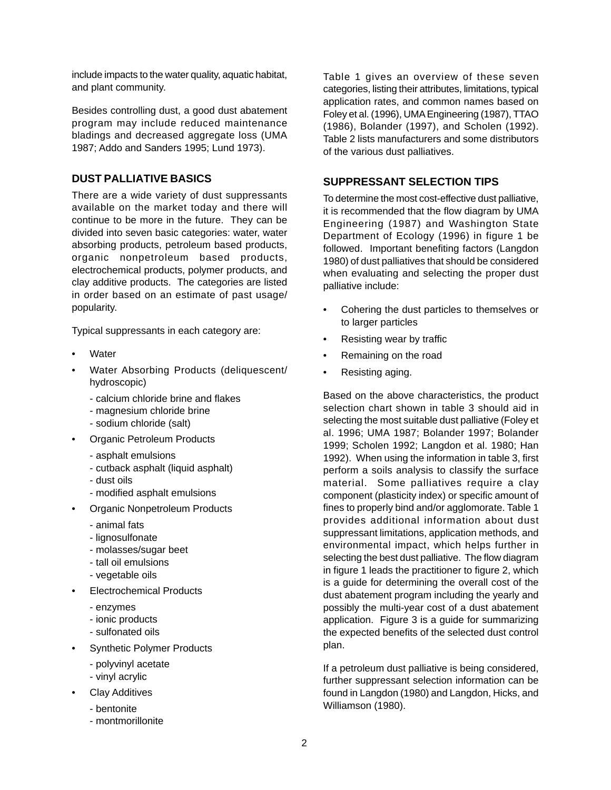include impacts to the water quality, aquatic habitat, and plant community.

Besides controlling dust, a good dust abatement program may include reduced maintenance bladings and decreased aggregate loss (UMA 1987; Addo and Sanders 1995; Lund 1973).

## **DUST PALLIATIVE BASICS**

There are a wide variety of dust suppressants available on the market today and there will continue to be more in the future. They can be divided into seven basic categories: water, water absorbing products, petroleum based products, organic nonpetroleum based products, electrochemical products, polymer products, and clay additive products. The categories are listed in order based on an estimate of past usage/ popularity.

Typical suppressants in each category are:

- **Water**
- Water Absorbing Products (deliquescent/ hydroscopic)
	- calcium chloride brine and flakes
	- magnesium chloride brine
	- sodium chloride (salt)
- Organic Petroleum Products
	- asphalt emulsions
	- cutback asphalt (liquid asphalt)
	- dust oils
	- modified asphalt emulsions
- Organic Nonpetroleum Products
	- animal fats
	- lignosulfonate
	- molasses/sugar beet
	- tall oil emulsions
	- vegetable oils
- Electrochemical Products
	- enzymes
	- ionic products
	- sulfonated oils
- **Synthetic Polymer Products** 
	- polyvinyl acetate
	- vinyl acrylic
- Clay Additives
	- bentonite
	- montmorillonite

Table 1 gives an overview of these seven categories, listing their attributes, limitations, typical application rates, and common names based on Foley et al. (1996), UMA Engineering (1987), TTAO (1986), Bolander (1997), and Scholen (1992). Table 2 lists manufacturers and some distributors of the various dust palliatives.

## **SUPPRESSANT SELECTION TIPS**

To determine the most cost-effective dust palliative, it is recommended that the flow diagram by UMA Engineering (1987) and Washington State Department of Ecology (1996) in figure 1 be followed. Important benefiting factors (Langdon 1980) of dust palliatives that should be considered when evaluating and selecting the proper dust palliative include:

- Cohering the dust particles to themselves or to larger particles
- Resisting wear by traffic
- Remaining on the road
- Resisting aging.

Based on the above characteristics, the product selection chart shown in table 3 should aid in selecting the most suitable dust palliative (Foley et al. 1996; UMA 1987; Bolander 1997; Bolander 1999; Scholen 1992; Langdon et al. 1980; Han 1992). When using the information in table 3, first perform a soils analysis to classify the surface material. Some palliatives require a clay component (plasticity index) or specific amount of fines to properly bind and/or agglomorate. Table 1 provides additional information about dust suppressant limitations, application methods, and environmental impact, which helps further in selecting the best dust palliative. The flow diagram in figure 1 leads the practitioner to figure 2, which is a guide for determining the overall cost of the dust abatement program including the yearly and possibly the multi-year cost of a dust abatement application. Figure 3 is a guide for summarizing the expected benefits of the selected dust control plan.

If a petroleum dust palliative is being considered, further suppressant selection information can be found in Langdon (1980) and Langdon, Hicks, and Williamson (1980).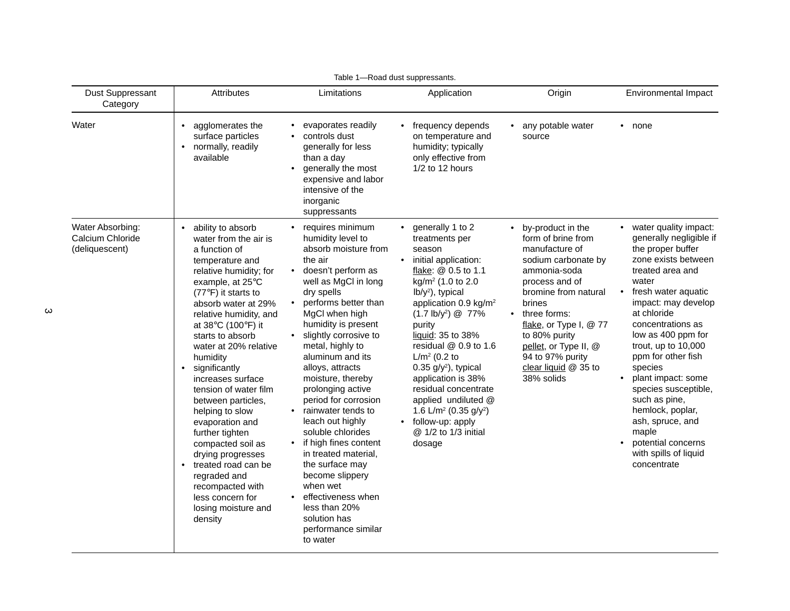| Dust Suppressant<br>Category                           | <b>Attributes</b>                                                                                                                                                                                                                                                                                                                                                                                                                                                                                                                                                                                | Limitations                                                                                                                                                                                                                                                                                                                                                                                                                                                                                                                                                                                                              | Application                                                                                                                                                                                                                                                                                                                                                                                                                                                                                                                          | Origin                                                                                                                                                                                                                                                                                                          | Environmental Impact                                                                                                                                                                                                                                                                                                                                                                                                                                                                 |  |  |
|--------------------------------------------------------|--------------------------------------------------------------------------------------------------------------------------------------------------------------------------------------------------------------------------------------------------------------------------------------------------------------------------------------------------------------------------------------------------------------------------------------------------------------------------------------------------------------------------------------------------------------------------------------------------|--------------------------------------------------------------------------------------------------------------------------------------------------------------------------------------------------------------------------------------------------------------------------------------------------------------------------------------------------------------------------------------------------------------------------------------------------------------------------------------------------------------------------------------------------------------------------------------------------------------------------|--------------------------------------------------------------------------------------------------------------------------------------------------------------------------------------------------------------------------------------------------------------------------------------------------------------------------------------------------------------------------------------------------------------------------------------------------------------------------------------------------------------------------------------|-----------------------------------------------------------------------------------------------------------------------------------------------------------------------------------------------------------------------------------------------------------------------------------------------------------------|--------------------------------------------------------------------------------------------------------------------------------------------------------------------------------------------------------------------------------------------------------------------------------------------------------------------------------------------------------------------------------------------------------------------------------------------------------------------------------------|--|--|
| Water                                                  | agglomerates the<br>$\bullet$<br>surface particles<br>normally, readily<br>$\bullet$<br>available                                                                                                                                                                                                                                                                                                                                                                                                                                                                                                | evaporates readily<br>controls dust<br>generally for less<br>than a day<br>generally the most<br>expensive and labor<br>intensive of the<br>inorganic<br>suppressants                                                                                                                                                                                                                                                                                                                                                                                                                                                    | frequency depends<br>on temperature and<br>humidity; typically<br>only effective from<br>1/2 to 12 hours                                                                                                                                                                                                                                                                                                                                                                                                                             | any potable water<br>source                                                                                                                                                                                                                                                                                     | • none                                                                                                                                                                                                                                                                                                                                                                                                                                                                               |  |  |
| Water Absorbing:<br>Calcium Chloride<br>(deliquescent) | • ability to absorb<br>water from the air is<br>a function of<br>temperature and<br>relative humidity; for<br>example, at 25°C<br>(77°F) it starts to<br>absorb water at 29%<br>relative humidity, and<br>at 38°C (100°F) it<br>starts to absorb<br>water at 20% relative<br>humidity<br>• significantly<br>increases surface<br>tension of water film<br>between particles,<br>helping to slow<br>evaporation and<br>further tighten<br>compacted soil as<br>drying progresses<br>treated road can be<br>regraded and<br>recompacted with<br>less concern for<br>losing moisture and<br>density | requires minimum<br>humidity level to<br>absorb moisture from<br>the air<br>doesn't perform as<br>well as MgCl in long<br>dry spells<br>performs better than<br>MgCl when high<br>humidity is present<br>slightly corrosive to<br>metal, highly to<br>aluminum and its<br>alloys, attracts<br>moisture, thereby<br>prolonging active<br>period for corrosion<br>rainwater tends to<br>leach out highly<br>soluble chlorides<br>if high fines content<br>in treated material,<br>the surface may<br>become slippery<br>when wet<br>effectiveness when<br>less than 20%<br>solution has<br>performance similar<br>to water | generally 1 to 2<br>treatments per<br>season<br>initial application:<br>$\bullet$<br>flake: @ 0.5 to 1.1<br>kg/m <sup>2</sup> (1.0 to 2.0<br>$lb/y^2$ ), typical<br>application 0.9 kg/m <sup>2</sup><br>$(1.7 \text{ lb/y}^2)$ @ 77%<br>purity<br>liquid: 35 to 38%<br>residual @ 0.9 to 1.6<br>$L/m^2$ (0.2 to<br>$0.35$ g/y <sup>2</sup> ), typical<br>application is 38%<br>residual concentrate<br>applied undiluted @<br>1.6 L/m <sup>2</sup> (0.35 g/y <sup>2</sup> )<br>• follow-up: apply<br>@ 1/2 to 1/3 initial<br>dosage | by-product in the<br>form of brine from<br>manufacture of<br>sodium carbonate by<br>ammonia-soda<br>process and of<br>bromine from natural<br>brines<br>three forms:<br>$\bullet$<br>flake, or Type I, @ 77<br>to 80% purity<br>pellet, or Type II, @<br>94 to 97% purity<br>clear liquid @ 35 to<br>38% solids | water quality impact:<br>generally negligible if<br>the proper buffer<br>zone exists between<br>treated area and<br>water<br>fresh water aquatic<br>$\bullet$<br>impact: may develop<br>at chloride<br>concentrations as<br>low as 400 ppm for<br>trout, up to 10,000<br>ppm for other fish<br>species<br>plant impact: some<br>species susceptible,<br>such as pine,<br>hemlock, poplar,<br>ash, spruce, and<br>maple<br>potential concerns<br>with spills of liquid<br>concentrate |  |  |

Table 1—Road dust suppressants.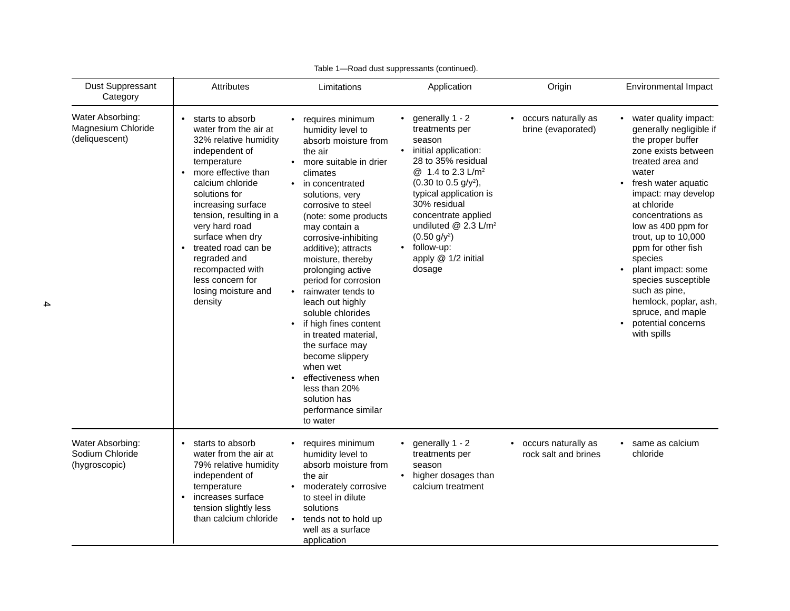| Dust Suppressant<br>Category                             | <b>Attributes</b>                                                                                                                                                                                                                                                                                                                                                       | Limitations                                                                                                                                                                                                                                                                                                                                                                                                                                                                                                                                                                                                                | Application                                                                                                                                                                                                                                                                                                                                                           | Origin                                      | Environmental Impact                                                                                                                                                                                                                                                                                                                                                                                                                                      |  |
|----------------------------------------------------------|-------------------------------------------------------------------------------------------------------------------------------------------------------------------------------------------------------------------------------------------------------------------------------------------------------------------------------------------------------------------------|----------------------------------------------------------------------------------------------------------------------------------------------------------------------------------------------------------------------------------------------------------------------------------------------------------------------------------------------------------------------------------------------------------------------------------------------------------------------------------------------------------------------------------------------------------------------------------------------------------------------------|-----------------------------------------------------------------------------------------------------------------------------------------------------------------------------------------------------------------------------------------------------------------------------------------------------------------------------------------------------------------------|---------------------------------------------|-----------------------------------------------------------------------------------------------------------------------------------------------------------------------------------------------------------------------------------------------------------------------------------------------------------------------------------------------------------------------------------------------------------------------------------------------------------|--|
| Water Absorbing:<br>Magnesium Chloride<br>(deliquescent) | starts to absorb<br>water from the air at<br>32% relative humidity<br>independent of<br>temperature<br>more effective than<br>calcium chloride<br>solutions for<br>increasing surface<br>tension, resulting in a<br>very hard road<br>surface when dry<br>treated road can be<br>regraded and<br>recompacted with<br>less concern for<br>losing moisture and<br>density | requires minimum<br>humidity level to<br>absorb moisture from<br>the air<br>more suitable in drier<br>climates<br>in concentrated<br>$\bullet$<br>solutions, very<br>corrosive to steel<br>(note: some products<br>may contain a<br>corrosive-inhibiting<br>additive); attracts<br>moisture, thereby<br>prolonging active<br>period for corrosion<br>rainwater tends to<br>$\bullet$<br>leach out highly<br>soluble chlorides<br>if high fines content<br>in treated material,<br>the surface may<br>become slippery<br>when wet<br>effectiveness when<br>less than 20%<br>solution has<br>performance similar<br>to water | generally 1 - 2<br>treatments per<br>season<br>initial application:<br>$\bullet$<br>28 to 35% residual<br>@ 1.4 to 2.3 L/m <sup>2</sup><br>$(0.30 \text{ to } 0.5 \text{ g/y}^2),$<br>typical application is<br>30% residual<br>concentrate applied<br>undiluted @ 2.3 L/m <sup>2</sup><br>$(0.50 g/y^2)$<br>follow-up:<br>$\bullet$<br>apply @ 1/2 initial<br>dosage | occurs naturally as<br>brine (evaporated)   | water quality impact:<br>generally negligible if<br>the proper buffer<br>zone exists between<br>treated area and<br>water<br>fresh water aquatic<br>$\bullet$<br>impact: may develop<br>at chloride<br>concentrations as<br>low as 400 ppm for<br>trout, up to $10,000$<br>ppm for other fish<br>species<br>plant impact: some<br>species susceptible<br>such as pine,<br>hemlock, poplar, ash,<br>spruce, and maple<br>potential concerns<br>with spills |  |
| Water Absorbing:<br>Sodium Chloride<br>(hygroscopic)     | starts to absorb<br>water from the air at<br>79% relative humidity<br>independent of<br>temperature<br>increases surface<br>tension slightly less<br>than calcium chloride                                                                                                                                                                                              | requires minimum<br>humidity level to<br>absorb moisture from<br>the air<br>moderately corrosive<br>to steel in dilute<br>solutions<br>tends not to hold up<br>well as a surface<br>application                                                                                                                                                                                                                                                                                                                                                                                                                            | generally 1 - 2<br>treatments per<br>season<br>higher dosages than<br>calcium treatment                                                                                                                                                                                                                                                                               | occurs naturally as<br>rock salt and brines | same as calcium<br>chloride                                                                                                                                                                                                                                                                                                                                                                                                                               |  |

Table 1—Road dust suppressants (continued).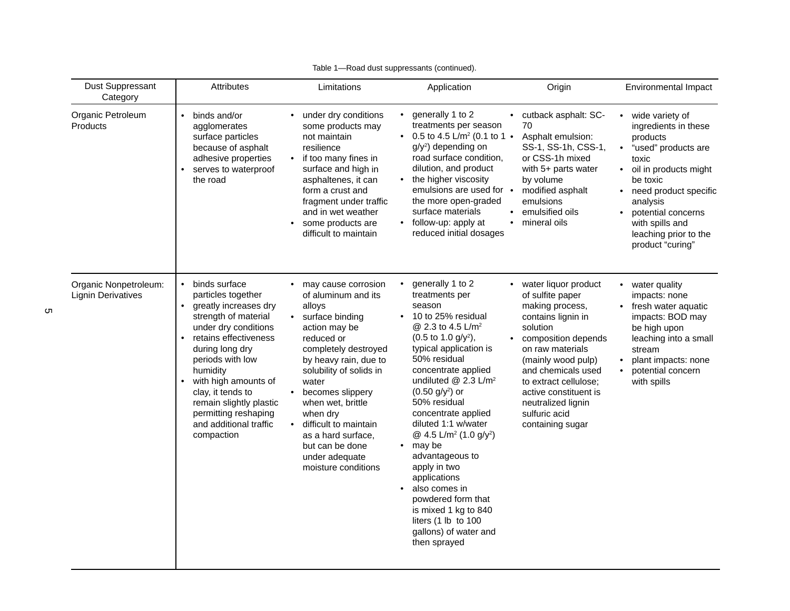| Dust Suppressant<br>Category                       | <b>Attributes</b>                                                                                                                                                                                                                                                                                                                                          | Limitations                                                                                                                                                                                                                                                                                                                                                 | Application                                                                                                                                                                                                                                                                                                                                                                                                                                                                                                                                                                                                                               | Origin                                                                                                                                                                                                                                                                                              | Environmental Impact                                                                                                                                                                                                                                                                       |  |  |
|----------------------------------------------------|------------------------------------------------------------------------------------------------------------------------------------------------------------------------------------------------------------------------------------------------------------------------------------------------------------------------------------------------------------|-------------------------------------------------------------------------------------------------------------------------------------------------------------------------------------------------------------------------------------------------------------------------------------------------------------------------------------------------------------|-------------------------------------------------------------------------------------------------------------------------------------------------------------------------------------------------------------------------------------------------------------------------------------------------------------------------------------------------------------------------------------------------------------------------------------------------------------------------------------------------------------------------------------------------------------------------------------------------------------------------------------------|-----------------------------------------------------------------------------------------------------------------------------------------------------------------------------------------------------------------------------------------------------------------------------------------------------|--------------------------------------------------------------------------------------------------------------------------------------------------------------------------------------------------------------------------------------------------------------------------------------------|--|--|
| Organic Petroleum<br><b>Products</b>               | binds and/or<br>agglomerates<br>surface particles<br>because of asphalt<br>adhesive properties<br>serves to waterproof<br>the road                                                                                                                                                                                                                         | under dry conditions<br>some products may<br>not maintain<br>resilience<br>if too many fines in<br>surface and high in<br>asphaltenes, it can<br>form a crust and<br>fragment under traffic<br>and in wet weather<br>some products are<br>difficult to maintain                                                                                             | • generally 1 to 2<br>treatments per season<br>• 0.5 to 4.5 L/m <sup>2</sup> (0.1 to 1 $\bullet$<br>g/y <sup>2</sup> ) depending on<br>road surface condition,<br>dilution, and product<br>the higher viscosity<br>$\bullet$<br>emulsions are used for $\bullet$<br>the more open-graded<br>surface materials<br>follow-up: apply at<br>$\bullet$<br>reduced initial dosages                                                                                                                                                                                                                                                              | • cutback asphalt: SC-<br>70<br>Asphalt emulsion:<br>SS-1, SS-1h, CSS-1,<br>or CSS-1h mixed<br>with 5+ parts water<br>by volume<br>modified asphalt<br>emulsions<br>emulsified oils<br>mineral oils                                                                                                 | wide variety of<br>ingredients in these<br>products<br>"used" products are<br>$\bullet$<br>toxic<br>oil in products might<br>$\bullet$<br>be toxic<br>need product specific<br>$\bullet$<br>analysis<br>potential concerns<br>with spills and<br>leaching prior to the<br>product "curing" |  |  |
| Organic Nonpetroleum:<br><b>Lignin Derivatives</b> | binds surface<br>$\bullet$<br>particles together<br>greatly increases dry<br>$\bullet$<br>strength of material<br>under dry conditions<br>retains effectiveness<br>during long dry<br>periods with low<br>humidity<br>with high amounts of<br>clay, it tends to<br>remain slightly plastic<br>permitting reshaping<br>and additional traffic<br>compaction | may cause corrosion<br>of aluminum and its<br>alloys<br>surface binding<br>action may be<br>reduced or<br>completely destroyed<br>by heavy rain, due to<br>solubility of solids in<br>water<br>becomes slippery<br>when wet, brittle<br>when dry<br>difficult to maintain<br>as a hard surface,<br>but can be done<br>under adequate<br>moisture conditions | generally 1 to 2<br>$\bullet$<br>treatments per<br>season<br>10 to 25% residual<br>$\bullet$<br>@ 2.3 to 4.5 L/m <sup>2</sup><br>$(0.5 \text{ to } 1.0 \text{ g/y}^2),$<br>typical application is<br>50% residual<br>concentrate applied<br>undiluted $@$ 2.3 L/m <sup>2</sup><br>$(0.50 g/y^2)$ or<br>50% residual<br>concentrate applied<br>diluted 1:1 w/water<br>@ 4.5 L/m <sup>2</sup> (1.0 g/y <sup>2</sup> )<br>may be<br>$\bullet$<br>advantageous to<br>apply in two<br>applications<br>also comes in<br>$\bullet$<br>powdered form that<br>is mixed 1 kg to 840<br>liters (1 lb to 100<br>gallons) of water and<br>then sprayed | • water liquor product<br>of sulfite paper<br>making process,<br>contains lignin in<br>solution<br>composition depends<br>on raw materials<br>(mainly wood pulp)<br>and chemicals used<br>to extract cellulose;<br>active constituent is<br>neutralized lignin<br>sulfuric acid<br>containing sugar | water quality<br>$\bullet$<br>impacts: none<br>fresh water aquatic<br>impacts: BOD may<br>be high upon<br>leaching into a small<br>stream<br>plant impacts: none<br>potential concern<br>with spills                                                                                       |  |  |

| Table 1-Road dust suppressants (continued). |  |
|---------------------------------------------|--|
|                                             |  |

 $\sigma$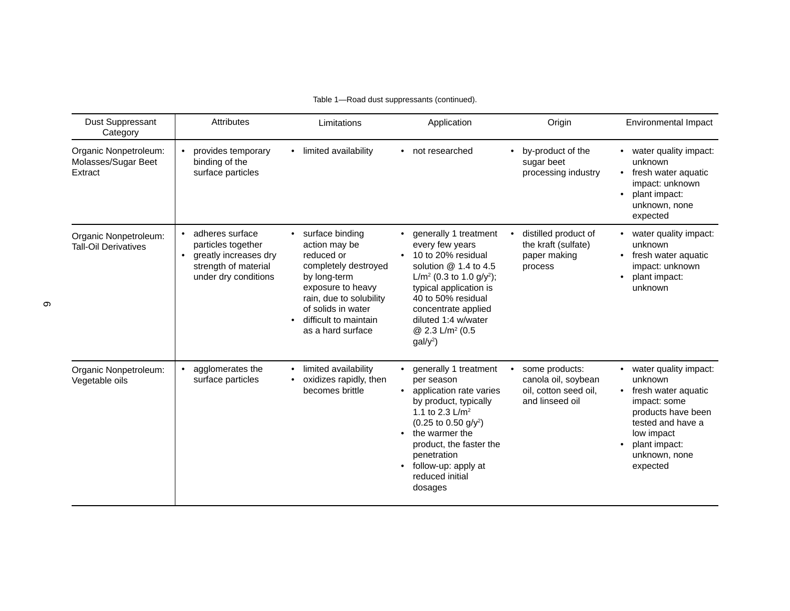| <b>Dust Suppressant</b><br>Category                     | <b>Attributes</b>                                                                                                             | Limitations                                                                                                                                                                                                | Application                                                                                                                                                                                                                                                                                                                   | Origin                                                                            | Environmental Impact                                                                                                                                                           |
|---------------------------------------------------------|-------------------------------------------------------------------------------------------------------------------------------|------------------------------------------------------------------------------------------------------------------------------------------------------------------------------------------------------------|-------------------------------------------------------------------------------------------------------------------------------------------------------------------------------------------------------------------------------------------------------------------------------------------------------------------------------|-----------------------------------------------------------------------------------|--------------------------------------------------------------------------------------------------------------------------------------------------------------------------------|
| Organic Nonpetroleum:<br>Molasses/Sugar Beet<br>Extract | provides temporary<br>binding of the<br>surface particles                                                                     | limited availability                                                                                                                                                                                       | not researched                                                                                                                                                                                                                                                                                                                | by-product of the<br>sugar beet<br>processing industry                            | water quality impact:<br>unknown<br>fresh water aquatic<br>impact: unknown<br>plant impact:<br>unknown, none<br>expected                                                       |
| Organic Nonpetroleum:<br><b>Tall-Oil Derivatives</b>    | • adheres surface<br>particles together<br>greatly increases dry<br>$\bullet$<br>strength of material<br>under dry conditions | surface binding<br>action may be<br>reduced or<br>completely destroyed<br>by long-term<br>exposure to heavy<br>rain, due to solubility<br>of solids in water<br>difficult to maintain<br>as a hard surface | generally 1 treatment<br>every few years<br>10 to 20% residual<br>solution $@1.4$ to 4.5<br>L/m <sup>2</sup> (0.3 to 1.0 g/y <sup>2</sup> );<br>typical application is<br>40 to 50% residual<br>concentrate applied<br>diluted 1:4 w/water<br>@ 2.3 L/m <sup>2</sup> (0.5<br>$gal/y^2$ )                                      | distilled product of<br>the kraft (sulfate)<br>paper making<br>process            | water quality impact:<br>unknown<br>fresh water aquatic<br>impact: unknown<br>plant impact:<br>unknown                                                                         |
| Organic Nonpetroleum:<br>Vegetable oils                 | agglomerates the<br>surface particles                                                                                         | limited availability<br>oxidizes rapidly, then<br>becomes brittle                                                                                                                                          | generally 1 treatment<br>$\bullet$<br>per season<br>application rate varies<br>$\bullet$<br>by product, typically<br>1.1 to 2.3 $L/m^2$<br>$(0.25 \text{ to } 0.50 \text{ g/y}^2)$<br>the warmer the<br>$\bullet$<br>product, the faster the<br>penetration<br>follow-up: apply at<br>$\bullet$<br>reduced initial<br>dosages | some products:<br>canola oil, soybean<br>oil. cotton seed oil.<br>and linseed oil | water quality impact:<br>unknown<br>fresh water aquatic<br>impact: some<br>products have been<br>tested and have a<br>low impact<br>plant impact:<br>unknown, none<br>expected |

#### Table 1—Road dust suppressants (continued).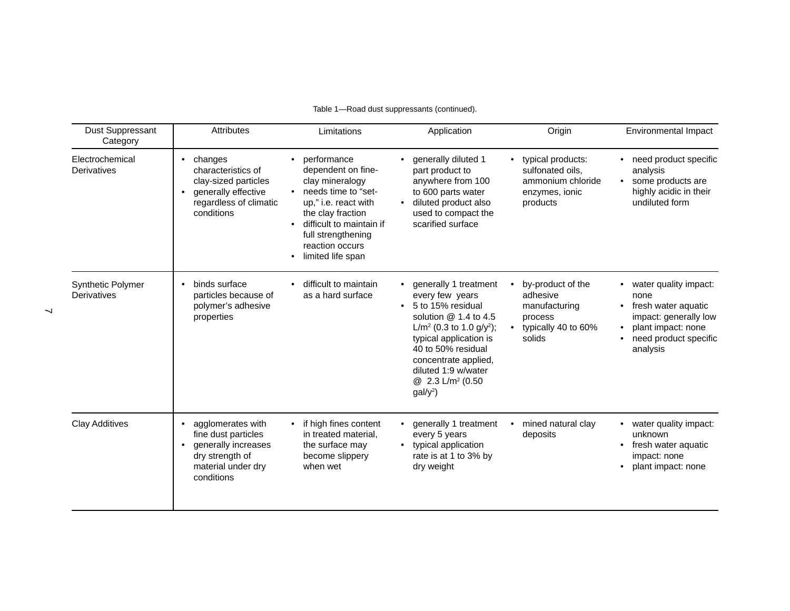| Table 1-Road dust suppressants (continued). |  |
|---------------------------------------------|--|
|                                             |  |

| Dust Suppressant<br>Category     | <b>Attributes</b>                                                                                                                        | Limitations                                                                                                                                                                                                                                  | Application                                                                                                                                                                                                                                                                                           | Origin                                                                                     | <b>Environmental Impact</b>                                                                                                                           |  |  |
|----------------------------------|------------------------------------------------------------------------------------------------------------------------------------------|----------------------------------------------------------------------------------------------------------------------------------------------------------------------------------------------------------------------------------------------|-------------------------------------------------------------------------------------------------------------------------------------------------------------------------------------------------------------------------------------------------------------------------------------------------------|--------------------------------------------------------------------------------------------|-------------------------------------------------------------------------------------------------------------------------------------------------------|--|--|
| Electrochemical<br>Derivatives   | changes<br>$\bullet$<br>characteristics of<br>clay-sized particles<br>generally effective<br>regardless of climatic<br>conditions        | performance<br>$\bullet$<br>dependent on fine-<br>clay mineralogy<br>needs time to "set-<br>up," i.e. react with<br>the clay fraction<br>difficult to maintain if<br>full strengthening<br>reaction occurs<br>limited life span<br>$\bullet$ | generally diluted 1<br>part product to<br>anywhere from 100<br>to 600 parts water<br>diluted product also<br>$\bullet$<br>used to compact the<br>scarified surface                                                                                                                                    | • typical products:<br>sulfonated oils.<br>ammonium chloride<br>enzymes, ionic<br>products | • need product specific<br>analysis<br>some products are<br>$\bullet$<br>highly acidic in their<br>undiluted form                                     |  |  |
| Synthetic Polymer<br>Derivatives | binds surface<br>$\bullet$<br>particles because of<br>polymer's adhesive<br>properties                                                   | difficult to maintain<br>as a hard surface                                                                                                                                                                                                   | generally 1 treatment<br>every few years<br>5 to 15% residual<br>$\bullet$<br>solution @ 1.4 to 4.5<br>L/m <sup>2</sup> (0.3 to 1.0 g/y <sup>2</sup> );<br>typical application is<br>40 to 50% residual<br>concentrate applied,<br>diluted 1:9 w/water<br>@ 2.3 L/m <sup>2</sup> (0.50<br>$gal/y^2$ ) | by-product of the<br>adhesive<br>manufacturing<br>process<br>typically 40 to 60%<br>solids | water quality impact:<br>none<br>fresh water aquatic<br>impact: generally low<br>plant impact: none<br>need product specific<br>$\bullet$<br>analysis |  |  |
| <b>Clay Additives</b>            | agglomerates with<br>$\bullet$<br>fine dust particles<br>generally increases<br>٠<br>dry strength of<br>material under dry<br>conditions | if high fines content<br>in treated material.<br>the surface may<br>become slippery<br>when wet                                                                                                                                              | generally 1 treatment<br>every 5 years<br>typical application<br>$\bullet$<br>rate is at 1 to 3% by<br>dry weight                                                                                                                                                                                     | mined natural clay<br>deposits                                                             | water quality impact:<br>unknown<br>fresh water aquatic<br>impact: none<br>plant impact: none                                                         |  |  |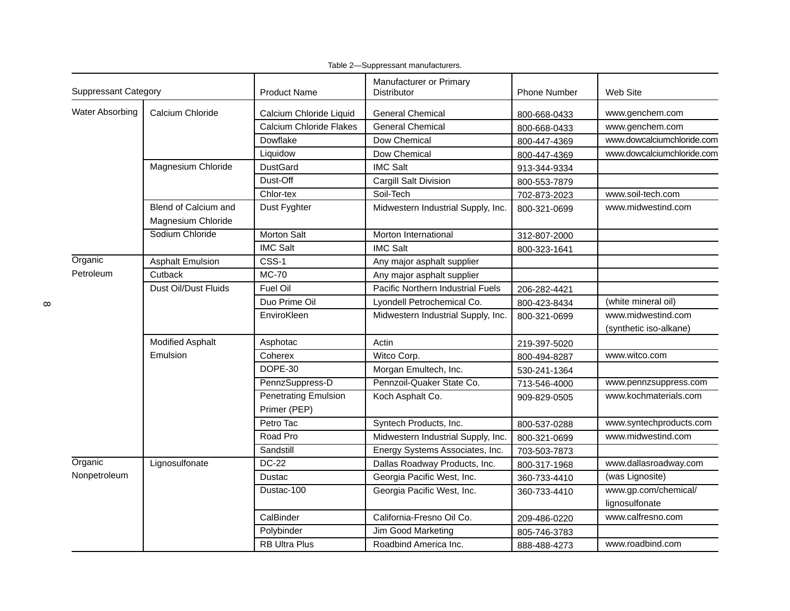| <b>Suppressant Category</b> |                                            | <b>Product Name</b>                         | Manufacturer or Primary<br>Distributor | <b>Phone Number</b> | Web Site                                     |
|-----------------------------|--------------------------------------------|---------------------------------------------|----------------------------------------|---------------------|----------------------------------------------|
| <b>Water Absorbing</b>      | Calcium Chloride                           | Calcium Chloride Liquid                     | <b>General Chemical</b>                | 800-668-0433        | www.genchem.com                              |
|                             |                                            | <b>Calcium Chloride Flakes</b>              | <b>General Chemical</b>                | 800-668-0433        | www.genchem.com                              |
|                             |                                            | Dowflake                                    | Dow Chemical                           | 800-447-4369        | www.dowcalciumchloride.com                   |
|                             |                                            | Liquidow                                    | Dow Chemical                           | 800-447-4369        | www.dowcalciumchloride.com                   |
|                             | Magnesium Chloride                         | <b>DustGard</b>                             | <b>IMC Salt</b>                        | 913-344-9334        |                                              |
|                             |                                            | Dust-Off                                    | Cargill Salt Division                  | 800-553-7879        |                                              |
|                             |                                            | Chlor-tex                                   | Soil-Tech                              | 702-873-2023        | www.soil-tech.com                            |
|                             | Blend of Calcium and<br>Magnesium Chloride | Dust Fyghter                                | Midwestern Industrial Supply, Inc.     | 800-321-0699        | www.midwestind.com                           |
|                             | Sodium Chloride                            | <b>Morton Salt</b>                          | Morton International                   | 312-807-2000        |                                              |
|                             |                                            | <b>IMC Salt</b>                             | <b>IMC Salt</b>                        | 800-323-1641        |                                              |
| Organic                     | <b>Asphalt Emulsion</b>                    | CSS-1                                       | Any major asphalt supplier             |                     |                                              |
| Petroleum                   | <b>MC-70</b><br>Cutback                    |                                             | Any major asphalt supplier             |                     |                                              |
|                             | <b>Dust Oil/Dust Fluids</b>                | <b>Fuel Oil</b>                             | Pacific Northern Industrial Fuels      | 206-282-4421        |                                              |
|                             |                                            | Duo Prime Oil                               | Lyondell Petrochemical Co.             | 800-423-8434        | (white mineral oil)                          |
|                             |                                            | EnviroKleen                                 | Midwestern Industrial Supply, Inc.     | 800-321-0699        | www.midwestind.com<br>(synthetic iso-alkane) |
|                             | <b>Modified Asphalt</b>                    | Asphotac                                    | Actin                                  | 219-397-5020        |                                              |
|                             | Emulsion                                   | Coherex                                     | Witco Corp.                            | 800-494-8287        | www.witco.com                                |
|                             |                                            | DOPE-30                                     | Morgan Emultech, Inc.                  | 530-241-1364        |                                              |
|                             |                                            | PennzSuppress-D                             | Pennzoil-Quaker State Co.              | 713-546-4000        | www.pennzsuppress.com                        |
|                             |                                            | <b>Penetrating Emulsion</b><br>Primer (PEP) | Koch Asphalt Co.                       | 909-829-0505        | www.kochmaterials.com                        |
|                             |                                            | Petro Tac                                   | Syntech Products, Inc.                 | 800-537-0288        | www.syntechproducts.com                      |
|                             |                                            | Road Pro                                    | Midwestern Industrial Supply, Inc.     | 800-321-0699        | www.midwestind.com                           |
|                             |                                            | Sandstill                                   | Energy Systems Associates, Inc.        | 703-503-7873        |                                              |
| Organic                     | Lignosulfonate                             | <b>DC-22</b>                                | Dallas Roadway Products, Inc.          | 800-317-1968        | www.dallasroadway.com                        |
| Nonpetroleum                |                                            | <b>Dustac</b>                               | Georgia Pacific West, Inc.             | 360-733-4410        | (was Lignosite)                              |
|                             |                                            | Dustac-100                                  | Georgia Pacific West, Inc.             | 360-733-4410        | www.gp.com/chemical/<br>lignosulfonate       |
|                             |                                            | CalBinder                                   | California-Fresno Oil Co.              | 209-486-0220        | www.calfresno.com                            |
|                             |                                            | Polybinder                                  | Jim Good Marketing                     | 805-746-3783        |                                              |
|                             |                                            | <b>RB Ultra Plus</b>                        | Roadbind America Inc.                  | 888-488-4273        | www.roadbind.com                             |

Table 2—Suppressant manufacturers.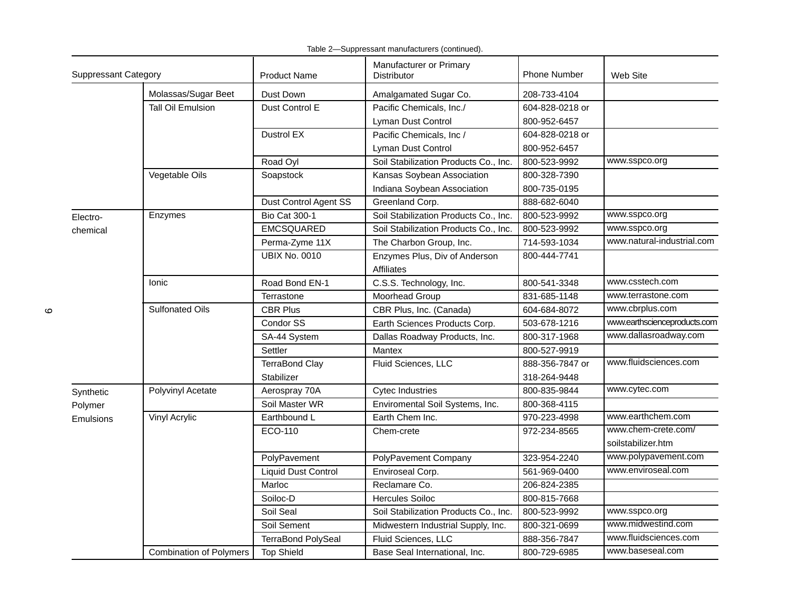| <b>Suppressant Category</b> |                                | <b>Product Name</b>        | Manufacturer or Primary<br><b>Distributor</b>      | <b>Phone Number</b> | Web Site                     |  |
|-----------------------------|--------------------------------|----------------------------|----------------------------------------------------|---------------------|------------------------------|--|
|                             | Molassas/Sugar Beet            | Dust Down                  | Amalgamated Sugar Co.                              | 208-733-4104        |                              |  |
|                             | <b>Tall Oil Emulsion</b>       | Dust Control E             | Pacific Chemicals, Inc./                           | 604-828-0218 or     |                              |  |
|                             |                                |                            | Lyman Dust Control                                 | 800-952-6457        |                              |  |
|                             |                                | Dustrol EX                 | Pacific Chemicals, Inc /                           | 604-828-0218 or     |                              |  |
|                             |                                |                            | Lyman Dust Control                                 | 800-952-6457        |                              |  |
|                             |                                | Road Oyl                   | Soil Stabilization Products Co., Inc.              | 800-523-9992        | www.sspco.org                |  |
|                             | Vegetable Oils                 | Soapstock                  | Kansas Soybean Association                         | 800-328-7390        |                              |  |
|                             |                                |                            | Indiana Soybean Association                        | 800-735-0195        |                              |  |
|                             |                                | Dust Control Agent SS      | Greenland Corp.                                    | 888-682-6040        |                              |  |
| Electro-                    | Enzymes                        | <b>Bio Cat 300-1</b>       | Soil Stabilization Products Co., Inc.              | 800-523-9992        | www.sspco.org                |  |
| chemical                    |                                | <b>EMCSQUARED</b>          | Soil Stabilization Products Co., Inc.              | 800-523-9992        | www.sspco.org                |  |
|                             |                                | Perma-Zyme 11X             | The Charbon Group, Inc.                            | 714-593-1034        | www.natural-industrial.com   |  |
|                             |                                | <b>UBIX No. 0010</b>       | Enzymes Plus, Div of Anderson<br><b>Affiliates</b> | 800-444-7741        |                              |  |
|                             | <b>lonic</b>                   | Road Bond EN-1             | C.S.S. Technology, Inc.                            | 800-541-3348        | www.csstech.com              |  |
|                             |                                | Terrastone                 | Moorhead Group                                     | 831-685-1148        | www.terrastone.com           |  |
|                             | <b>Sulfonated Oils</b>         | <b>CBR Plus</b>            | CBR Plus, Inc. (Canada)                            | 604-684-8072        | www.cbrplus.com              |  |
|                             |                                | Condor SS                  | Earth Sciences Products Corp.                      | 503-678-1216        | www.earthscienceproducts.com |  |
|                             |                                | SA-44 System               | Dallas Roadway Products, Inc.                      | 800-317-1968        | www.dallasroadway.com        |  |
|                             |                                | Settler                    | Mantex                                             | 800-527-9919        |                              |  |
|                             |                                | <b>TerraBond Clay</b>      | Fluid Sciences, LLC                                | 888-356-7847 or     | www.fluidsciences.com        |  |
|                             |                                | Stabilizer                 |                                                    | 318-264-9448        |                              |  |
| Synthetic                   | Polyvinyl Acetate              | Aerospray 70A              | <b>Cytec Industries</b>                            | 800-835-9844        | www.cytec.com                |  |
| Polymer                     |                                | Soil Master WR             | Enviromental Soil Systems, Inc.                    | 800-368-4115        |                              |  |
| Emulsions                   | Vinyl Acrylic                  | Earthbound L               | Earth Chem Inc.                                    | 970-223-4998        | www.earthchem.com            |  |
|                             |                                | ECO-110                    | Chem-crete                                         | 972-234-8565        | www.chem-crete.com/          |  |
|                             |                                |                            |                                                    |                     | soilstabilizer.htm           |  |
|                             |                                | PolyPavement               | PolyPavement Company                               | 323-954-2240        | www.polypavement.com         |  |
|                             |                                | <b>Liquid Dust Control</b> | Enviroseal Corp.                                   | 561-969-0400        | www.enviroseal.com           |  |
|                             |                                | Marloc                     | Reclamare Co.                                      | 206-824-2385        |                              |  |
|                             |                                | Soiloc-D                   | <b>Hercules Soiloc</b>                             | 800-815-7668        |                              |  |
|                             |                                | Soil Seal                  | Soil Stabilization Products Co., Inc.              | 800-523-9992        | www.sspco.org                |  |
|                             |                                | Soil Sement                | Midwestern Industrial Supply, Inc.                 | 800-321-0699        | www.midwestind.com           |  |
|                             |                                | <b>TerraBond PolySeal</b>  | Fluid Sciences, LLC                                | 888-356-7847        | www.fluidsciences.com        |  |
|                             | <b>Combination of Polymers</b> | <b>Top Shield</b>          | Base Seal International, Inc.                      | 800-729-6985        | www.baseseal.com             |  |

Table 2—Suppressant manufacturers (continued).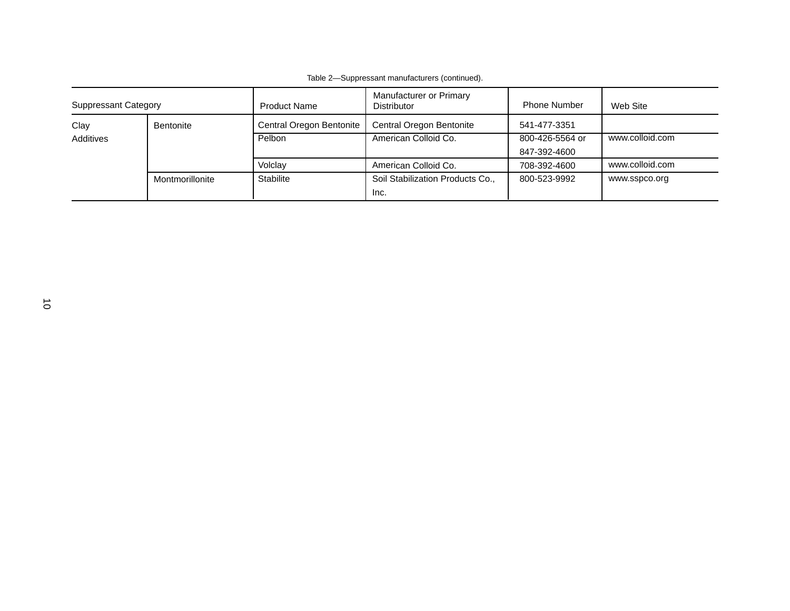| <b>Suppressant Category</b> |                 | Manufacturer or Primary<br><b>Product Name</b><br><b>Distributor</b> |                                  | <b>Phone Number</b> | Web Site        |
|-----------------------------|-----------------|----------------------------------------------------------------------|----------------------------------|---------------------|-----------------|
| Clay<br>Bentonite           |                 | Central Oregon Bentonite                                             | Central Oregon Bentonite         | 541-477-3351        |                 |
| Additives                   |                 | Pelbon                                                               | American Colloid Co.             | 800-426-5564 or     | www.colloid.com |
|                             |                 |                                                                      |                                  | 847-392-4600        |                 |
|                             |                 | Volclay                                                              | American Colloid Co.             | 708-392-4600        | www.colloid.com |
|                             | Montmorillonite | <b>Stabilite</b>                                                     | Soil Stabilization Products Co., | 800-523-9992        | www.sspco.org   |
|                             |                 |                                                                      | Inc.                             |                     |                 |

Table 2—Suppressant manufacturers (continued).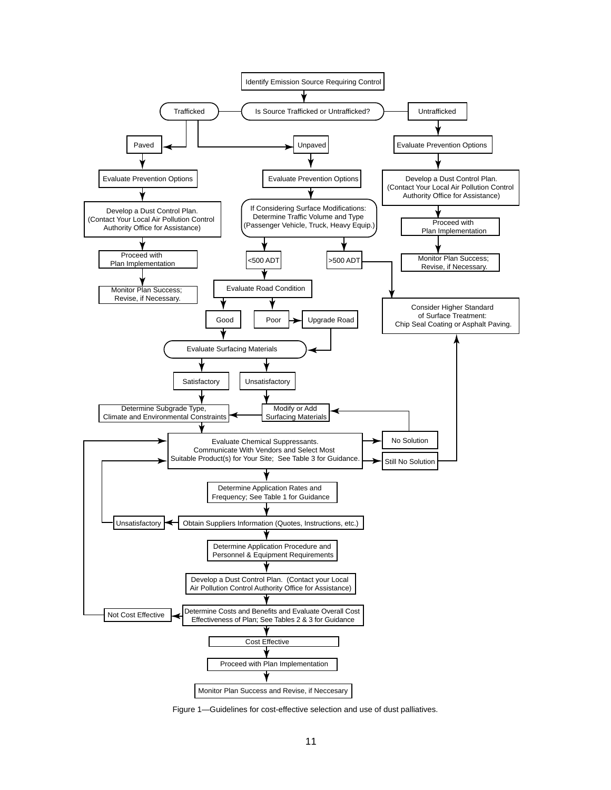

Figure 1—Guidelines for cost-effective selection and use of dust palliatives.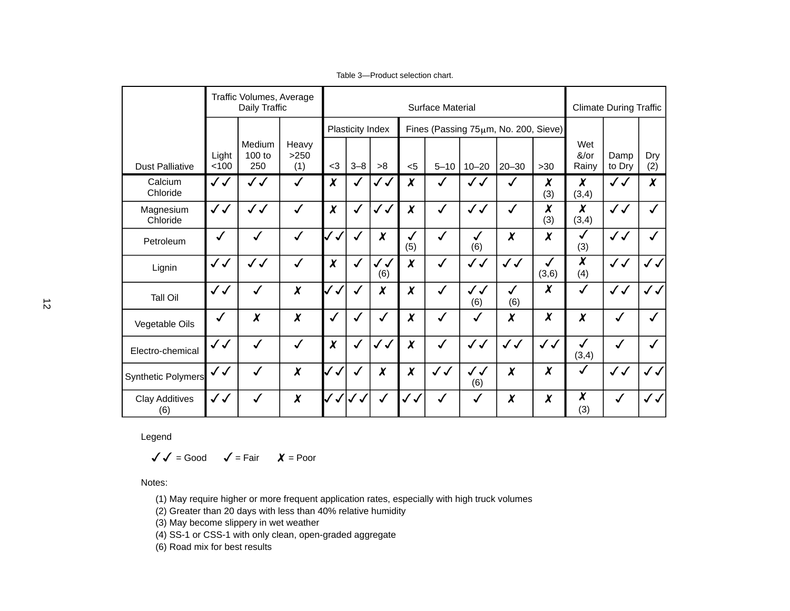|                              | Traffic Volumes, Average<br>Daily Traffic |                         |                      | <b>Surface Material</b>      |                             |                     |                     |              |                     | <b>Climate During Traffic</b>                     |                       |                          |                |                   |
|------------------------------|-------------------------------------------|-------------------------|----------------------|------------------------------|-----------------------------|---------------------|---------------------|--------------|---------------------|---------------------------------------------------|-----------------------|--------------------------|----------------|-------------------|
| <b>Dust Palliative</b>       | Light<br>< 100                            | Medium<br>100 to<br>250 | Heavy<br>>250<br>(1) | $<$ 3                        | Plasticity Index<br>$3 - 8$ | >8                  | $5$                 | $5 - 10$     | $10 - 20$           | Fines (Passing 75um, No. 200, Sieve)<br>$20 - 30$ | $>30$                 | Wet<br>&/or<br>Rainy     | Damp<br>to Dry | Dry<br>(2)        |
| Calcium<br>Chloride          | $\checkmark$                              | $\checkmark$            | $\sqrt{2}$           | $\chi$                       | $\sqrt{2}$                  | $\checkmark$        | $\boldsymbol{x}$    | $\checkmark$ | ✓ J                 | $\checkmark$                                      | X<br>(3)              | $\chi$<br>(3,4)          | $\checkmark$   | $\boldsymbol{x}$  |
| Magnesium<br>Chloride        | $\checkmark$                              | $\checkmark$            | $\checkmark$         | $\chi$                       | $\checkmark$                | $\checkmark$        | $\chi$              | $\sqrt{2}$   | $\checkmark$        | $\checkmark$                                      | X<br>(3)              | $\chi$<br>(3,4)          | $\checkmark$   | $\checkmark$      |
| Petroleum                    | $\checkmark$                              | $\checkmark$            | $\checkmark$         | $\checkmark$<br>$\checkmark$ | $\checkmark$                | $\chi$              | √<br>(5)            | $\checkmark$ | √<br>(6)            | $\boldsymbol{\chi}$                               | $\boldsymbol{\chi}$   | $\checkmark$<br>(3)      | $\checkmark$   | $\checkmark$      |
| Lignin                       | $\checkmark$                              | $\checkmark$            | $\checkmark$         | $\chi$                       | $\checkmark$                | $\checkmark$<br>(6) | $\boldsymbol{x}$    | $\checkmark$ | $\checkmark$        | $\checkmark$                                      | $\checkmark$<br>(3,6) | $\overline{\chi}$<br>(4) | $\checkmark$   | $\checkmark$      |
| <b>Tall Oil</b>              | $\checkmark$                              | $\checkmark$            | $\chi$               | $\checkmark$<br>$\checkmark$ | $\checkmark$                | $\chi$              | $\boldsymbol{\chi}$ | $\checkmark$ | $\checkmark$<br>(6) | $\checkmark$<br>(6)                               | $\boldsymbol{\chi}$   | $\checkmark$             | $\checkmark$   | $\sqrt{\sqrt{2}}$ |
| Vegetable Oils               | $\checkmark$                              | X                       | $\chi$               | $\checkmark$                 | √                           | √                   | $\chi$              | $\checkmark$ | $\checkmark$        | $\boldsymbol{\chi}$                               | $\boldsymbol{\chi}$   | $\chi$                   | $\checkmark$   | $\sqrt{2}$        |
| Electro-chemical             | $\checkmark$                              | $\checkmark$            | $\checkmark$         | $\chi$                       | $\checkmark$                | $\checkmark$        | $\pmb{\chi}$        | √            | $\checkmark$        | $\sqrt{\sqrt{2}}$                                 | $\checkmark$          | $\checkmark$<br>(3,4)    | $\checkmark$   | $\checkmark$      |
| Synthetic Polymers           | $\checkmark$                              | √                       | $\chi$               | $\checkmark$<br>$\checkmark$ | √                           | $\chi$              | $\chi$              | $\checkmark$ | $\checkmark$<br>(6) | $\boldsymbol{\chi}$                               | $\boldsymbol{\chi}$   | $\checkmark$             | $\checkmark$   | $\sqrt{}$         |
| <b>Clay Additives</b><br>(6) | $\checkmark$                              | $\checkmark$            | $\chi$               | $\checkmark$                 | $\checkmark$                |                     | $\checkmark$        | $\checkmark$ | √                   | $\boldsymbol{\chi}$                               | $\boldsymbol{\chi}$   | $\chi$<br>(3)            | ✓              | $\sqrt{\sqrt{2}}$ |

Table 3—Product selection chart.

Legend

 $=$  Good  $\checkmark$  = Fair  $\checkmark$  = Poor

Notes:

(1) May require higher or more frequent application rates, especially with high truck volumes

(2) Greater than 20 days with less than 40% relative humidity

(3) May become slippery in wet weather

(4) SS-1 or CSS-1 with only clean, open-graded aggregate

(6) Road mix for best results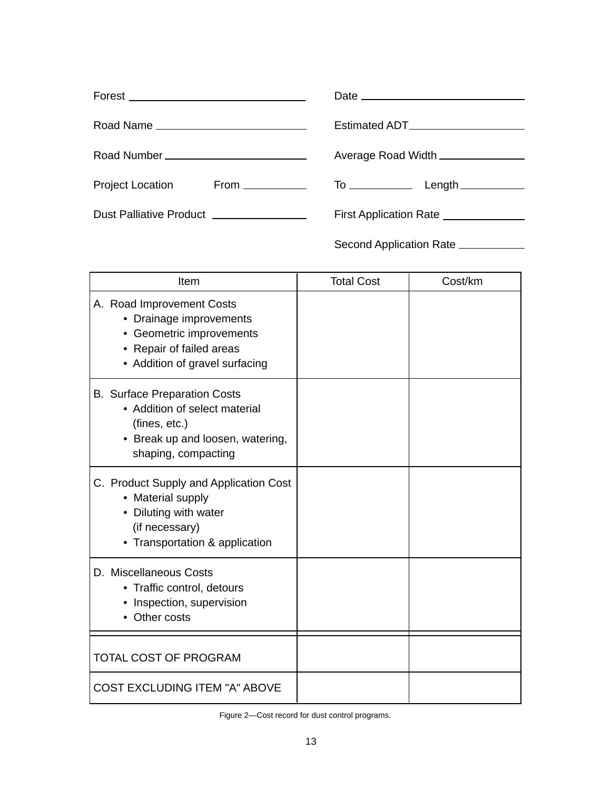| Forest ___________________________________ |                                       |
|--------------------------------------------|---------------------------------------|
| Road Name                                  | Estimated ADT_____________________    |
| Road Number ___________________________    | Average Road Width ______________     |
| Project Location From __________           |                                       |
| Dust Palliative Product ________________   | First Application Rate ______________ |
|                                            | Second Application Rate ___________   |

| Item                                                                                                                                              | <b>Total Cost</b> | Cost/km |
|---------------------------------------------------------------------------------------------------------------------------------------------------|-------------------|---------|
| A. Road Improvement Costs<br>• Drainage improvements<br>Geometric improvements<br>• Repair of failed areas<br>• Addition of gravel surfacing      |                   |         |
| <b>B.</b> Surface Preparation Costs<br>• Addition of select material<br>(fines, etc.)<br>• Break up and loosen, watering,<br>shaping, compacting  |                   |         |
| C. Product Supply and Application Cost<br>• Material supply<br>Diluting with water<br>$\bullet$<br>(if necessary)<br>Transportation & application |                   |         |
| D. Miscellaneous Costs<br>• Traffic control, detours<br>Inspection, supervision<br>Other costs                                                    |                   |         |
| <b>TOTAL COST OF PROGRAM</b>                                                                                                                      |                   |         |
| <b>COST EXCLUDING ITEM "A" ABOVE</b>                                                                                                              |                   |         |

Figure 2—Cost record for dust control programs.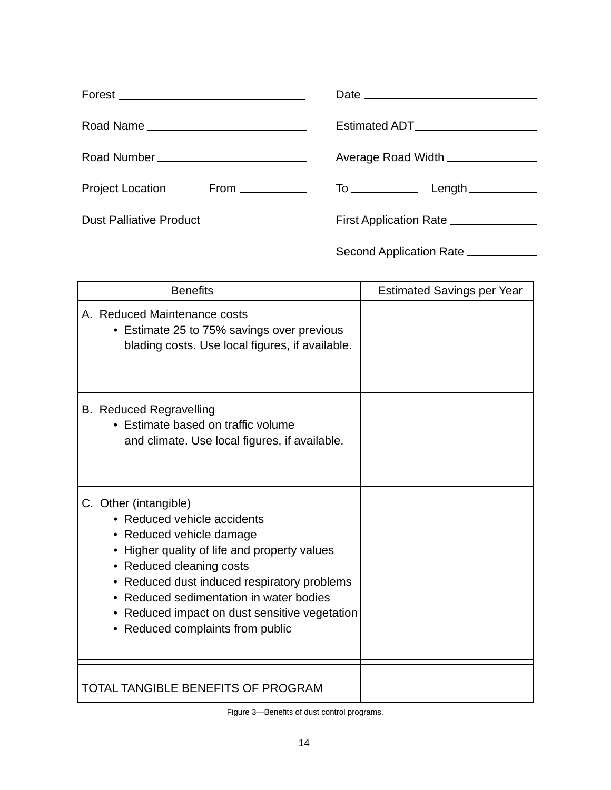|                                          | Estimated ADT_______________________  |
|------------------------------------------|---------------------------------------|
|                                          | Average Road Width ______________     |
| Project Location From __________         |                                       |
| Dust Palliative Product ________________ | First Application Rate ______________ |
|                                          | Second Application Rate ___________   |

| <b>Benefits</b>                                                                                                                                                                                                                                                                                                                          | <b>Estimated Savings per Year</b> |
|------------------------------------------------------------------------------------------------------------------------------------------------------------------------------------------------------------------------------------------------------------------------------------------------------------------------------------------|-----------------------------------|
| A. Reduced Maintenance costs<br>• Estimate 25 to 75% savings over previous<br>blading costs. Use local figures, if available.                                                                                                                                                                                                            |                                   |
| <b>B.</b> Reduced Regravelling<br>• Estimate based on traffic volume<br>and climate. Use local figures, if available.                                                                                                                                                                                                                    |                                   |
| C. Other (intangible)<br>• Reduced vehicle accidents<br>• Reduced vehicle damage<br>Higher quality of life and property values<br>٠<br>Reduced cleaning costs<br>Reduced dust induced respiratory problems<br>Reduced sedimentation in water bodies<br>• Reduced impact on dust sensitive vegetation<br>• Reduced complaints from public |                                   |
| <b>TOTAL TANGIBLE BENEFITS OF PROGRAM</b>                                                                                                                                                                                                                                                                                                |                                   |

Figure 3—Benefits of dust control programs.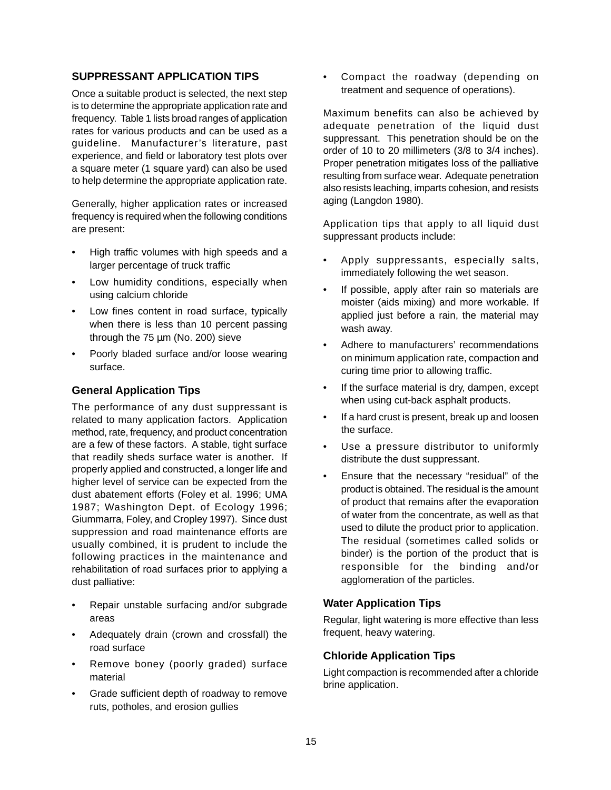## **SUPPRESSANT APPLICATION TIPS**

Once a suitable product is selected, the next step is to determine the appropriate application rate and frequency. Table 1 lists broad ranges of application rates for various products and can be used as a guideline. Manufacturer's literature, past experience, and field or laboratory test plots over a square meter (1 square yard) can also be used to help determine the appropriate application rate.

Generally, higher application rates or increased frequency is required when the following conditions are present:

- High traffic volumes with high speeds and a larger percentage of truck traffic
- Low humidity conditions, especially when using calcium chloride
- Low fines content in road surface, typically when there is less than 10 percent passing through the  $75 \mu m$  (No. 200) sieve
- Poorly bladed surface and/or loose wearing surface.

## **General Application Tips**

The performance of any dust suppressant is related to many application factors. Application method, rate, frequency, and product concentration are a few of these factors. A stable, tight surface that readily sheds surface water is another. If properly applied and constructed, a longer life and higher level of service can be expected from the dust abatement efforts (Foley et al. 1996; UMA 1987; Washington Dept. of Ecology 1996; Giummarra, Foley, and Cropley 1997). Since dust suppression and road maintenance efforts are usually combined, it is prudent to include the following practices in the maintenance and rehabilitation of road surfaces prior to applying a dust palliative:

- Repair unstable surfacing and/or subgrade areas
- Adequately drain (crown and crossfall) the road surface
- Remove boney (poorly graded) surface material
- Grade sufficient depth of roadway to remove ruts, potholes, and erosion gullies

• Compact the roadway (depending on treatment and sequence of operations).

Maximum benefits can also be achieved by adequate penetration of the liquid dust suppressant. This penetration should be on the order of 10 to 20 millimeters (3/8 to 3/4 inches). Proper penetration mitigates loss of the palliative resulting from surface wear. Adequate penetration also resists leaching, imparts cohesion, and resists aging (Langdon 1980).

Application tips that apply to all liquid dust suppressant products include:

- Apply suppressants, especially salts, immediately following the wet season.
- If possible, apply after rain so materials are moister (aids mixing) and more workable. If applied just before a rain, the material may wash away.
- Adhere to manufacturers' recommendations on minimum application rate, compaction and curing time prior to allowing traffic.
- If the surface material is dry, dampen, except when using cut-back asphalt products.
- If a hard crust is present, break up and loosen the surface.
- Use a pressure distributor to uniformly distribute the dust suppressant.
- Ensure that the necessary "residual" of the product is obtained. The residual is the amount of product that remains after the evaporation of water from the concentrate, as well as that used to dilute the product prior to application. The residual (sometimes called solids or binder) is the portion of the product that is responsible for the binding and/or agglomeration of the particles.

# **Water Application Tips**

Regular, light watering is more effective than less frequent, heavy watering.

# **Chloride Application Tips**

Light compaction is recommended after a chloride brine application.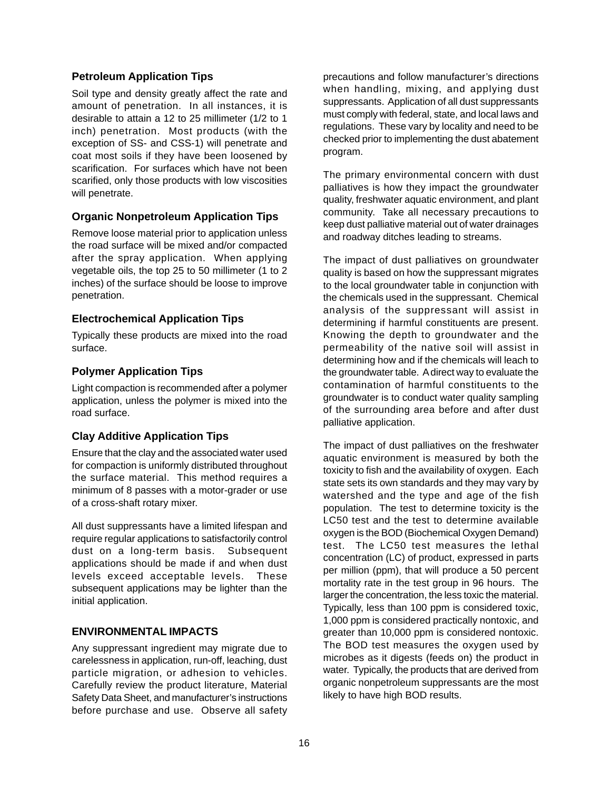# **Petroleum Application Tips**

Soil type and density greatly affect the rate and amount of penetration. In all instances, it is desirable to attain a 12 to 25 millimeter (1/2 to 1 inch) penetration. Most products (with the exception of SS- and CSS-1) will penetrate and coat most soils if they have been loosened by scarification. For surfaces which have not been scarified, only those products with low viscosities will penetrate.

# **Organic Nonpetroleum Application Tips**

Remove loose material prior to application unless the road surface will be mixed and/or compacted after the spray application. When applying vegetable oils, the top 25 to 50 millimeter (1 to 2 inches) of the surface should be loose to improve penetration.

## **Electrochemical Application Tips**

Typically these products are mixed into the road surface.

# **Polymer Application Tips**

Light compaction is recommended after a polymer application, unless the polymer is mixed into the road surface.

# **Clay Additive Application Tips**

Ensure that the clay and the associated water used for compaction is uniformly distributed throughout the surface material. This method requires a minimum of 8 passes with a motor-grader or use of a cross-shaft rotary mixer.

All dust suppressants have a limited lifespan and require regular applications to satisfactorily control dust on a long-term basis. Subsequent applications should be made if and when dust levels exceed acceptable levels. These subsequent applications may be lighter than the initial application.

# **ENVIRONMENTAL IMPACTS**

Any suppressant ingredient may migrate due to carelessness in application, run-off, leaching, dust particle migration, or adhesion to vehicles. Carefully review the product literature, Material Safety Data Sheet, and manufacturer's instructions before purchase and use. Observe all safety

precautions and follow manufacturer's directions when handling, mixing, and applying dust suppressants. Application of all dust suppressants must comply with federal, state, and local laws and regulations. These vary by locality and need to be checked prior to implementing the dust abatement program.

The primary environmental concern with dust palliatives is how they impact the groundwater quality, freshwater aquatic environment, and plant community. Take all necessary precautions to keep dust palliative material out of water drainages and roadway ditches leading to streams.

The impact of dust palliatives on groundwater quality is based on how the suppressant migrates to the local groundwater table in conjunction with the chemicals used in the suppressant. Chemical analysis of the suppressant will assist in determining if harmful constituents are present. Knowing the depth to groundwater and the permeability of the native soil will assist in determining how and if the chemicals will leach to the groundwater table. A direct way to evaluate the contamination of harmful constituents to the groundwater is to conduct water quality sampling of the surrounding area before and after dust palliative application.

The impact of dust palliatives on the freshwater aquatic environment is measured by both the toxicity to fish and the availability of oxygen. Each state sets its own standards and they may vary by watershed and the type and age of the fish population. The test to determine toxicity is the LC50 test and the test to determine available oxygen is the BOD (Biochemical Oxygen Demand) test. The LC50 test measures the lethal concentration (LC) of product, expressed in parts per million (ppm), that will produce a 50 percent mortality rate in the test group in 96 hours. The larger the concentration, the less toxic the material. Typically, less than 100 ppm is considered toxic, 1,000 ppm is considered practically nontoxic, and greater than 10,000 ppm is considered nontoxic. The BOD test measures the oxygen used by microbes as it digests (feeds on) the product in water. Typically, the products that are derived from organic nonpetroleum suppressants are the most likely to have high BOD results.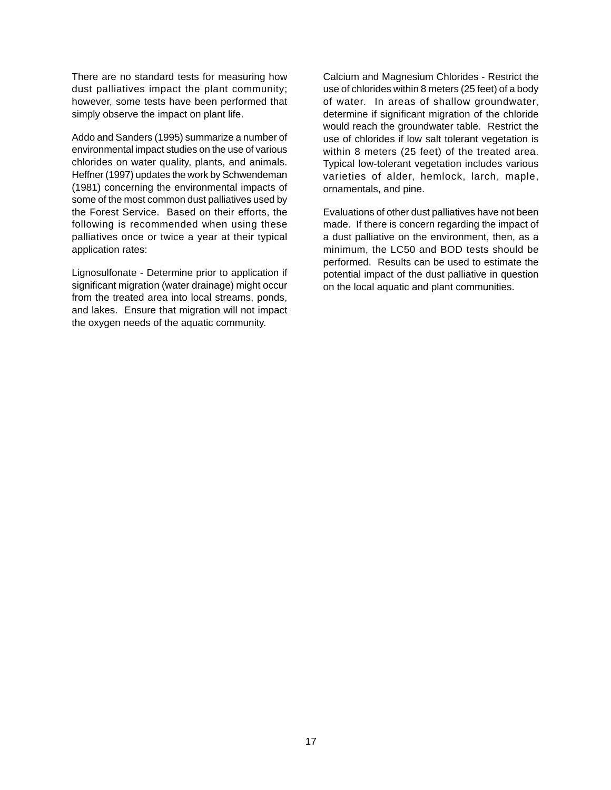There are no standard tests for measuring how dust palliatives impact the plant community; however, some tests have been performed that simply observe the impact on plant life.

Addo and Sanders (1995) summarize a number of environmental impact studies on the use of various chlorides on water quality, plants, and animals. Heffner (1997) updates the work by Schwendeman (1981) concerning the environmental impacts of some of the most common dust palliatives used by the Forest Service. Based on their efforts, the following is recommended when using these palliatives once or twice a year at their typical application rates:

Lignosulfonate - Determine prior to application if significant migration (water drainage) might occur from the treated area into local streams, ponds, and lakes. Ensure that migration will not impact the oxygen needs of the aquatic community.

Calcium and Magnesium Chlorides - Restrict the use of chlorides within 8 meters (25 feet) of a body of water. In areas of shallow groundwater, determine if significant migration of the chloride would reach the groundwater table. Restrict the use of chlorides if low salt tolerant vegetation is within 8 meters (25 feet) of the treated area. Typical low-tolerant vegetation includes various varieties of alder, hemlock, larch, maple, ornamentals, and pine.

Evaluations of other dust palliatives have not been made. If there is concern regarding the impact of a dust palliative on the environment, then, as a minimum, the LC50 and BOD tests should be performed. Results can be used to estimate the potential impact of the dust palliative in question on the local aquatic and plant communities.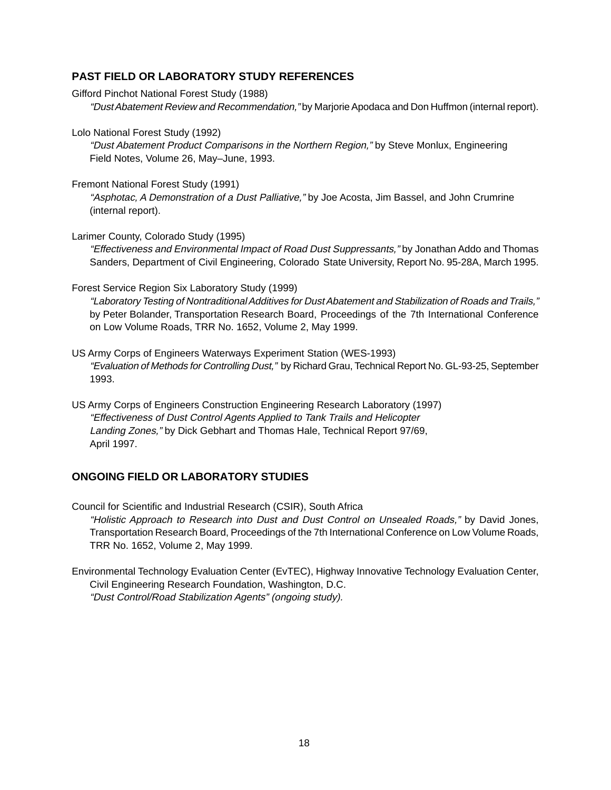# **PAST FIELD OR LABORATORY STUDY REFERENCES**

- Gifford Pinchot National Forest Study (1988) "Dust Abatement Review and Recommendation," by Marjorie Apodaca and Don Huffmon (internal report).
- Lolo National Forest Study (1992)

"Dust Abatement Product Comparisons in the Northern Region," by Steve Monlux, Engineering Field Notes, Volume 26, May–June, 1993.

Fremont National Forest Study (1991)

"Asphotac, A Demonstration of a Dust Palliative," by Joe Acosta, Jim Bassel, and John Crumrine (internal report).

Larimer County, Colorado Study (1995)

"Effectiveness and Environmental Impact of Road Dust Suppressants," by Jonathan Addo and Thomas Sanders, Department of Civil Engineering, Colorado State University, Report No. 95-28A, March 1995.

#### Forest Service Region Six Laboratory Study (1999)

"Laboratory Testing of Nontraditional Additives for Dust Abatement and Stabilization of Roads and Trails," by Peter Bolander, Transportation Research Board, Proceedings of the 7th International Conference on Low Volume Roads, TRR No. 1652, Volume 2, May 1999.

US Army Corps of Engineers Waterways Experiment Station (WES-1993) "Evaluation of Methods for Controlling Dust," by Richard Grau, Technical Report No. GL-93-25, September 1993.

US Army Corps of Engineers Construction Engineering Research Laboratory (1997) "Effectiveness of Dust Control Agents Applied to Tank Trails and Helicopter Landing Zones," by Dick Gebhart and Thomas Hale, Technical Report 97/69, April 1997.

#### **ONGOING FIELD OR LABORATORY STUDIES**

Council for Scientific and Industrial Research (CSIR), South Africa "Holistic Approach to Research into Dust and Dust Control on Unsealed Roads," by David Jones, Transportation Research Board, Proceedings of the 7th International Conference on Low Volume Roads, TRR No. 1652, Volume 2, May 1999.

Environmental Technology Evaluation Center (EvTEC), Highway Innovative Technology Evaluation Center, Civil Engineering Research Foundation, Washington, D.C. "Dust Control/Road Stabilization Agents" (ongoing study).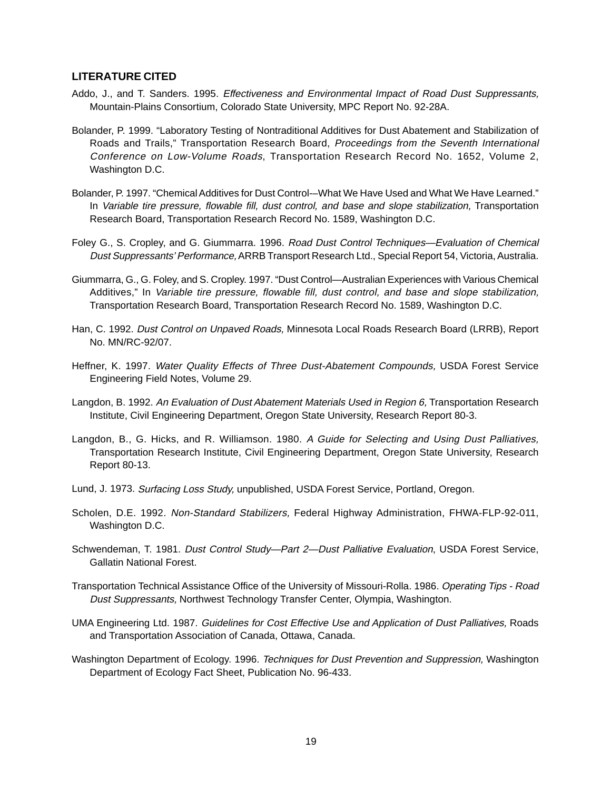#### **LITERATURE CITED**

- Addo, J., and T. Sanders. 1995. Effectiveness and Environmental Impact of Road Dust Suppressants, Mountain-Plains Consortium, Colorado State University, MPC Report No. 92-28A.
- Bolander, P. 1999. "Laboratory Testing of Nontraditional Additives for Dust Abatement and Stabilization of Roads and Trails," Transportation Research Board, Proceedings from the Seventh International Conference on Low-Volume Roads, Transportation Research Record No. 1652, Volume 2, Washington D.C.
- Bolander, P. 1997. "Chemical Additives for Dust Control-–What We Have Used and What We Have Learned." In Variable tire pressure, flowable fill, dust control, and base and slope stabilization, Transportation Research Board, Transportation Research Record No. 1589, Washington D.C.
- Foley G., S. Cropley, and G. Giummarra. 1996. Road Dust Control Techniques—Evaluation of Chemical Dust Suppressants' Performance, ARRB Transport Research Ltd., Special Report 54, Victoria, Australia.
- Giummarra, G., G. Foley, and S. Cropley. 1997. "Dust Control—Australian Experiences with Various Chemical Additives," In Variable tire pressure, flowable fill, dust control, and base and slope stabilization, Transportation Research Board, Transportation Research Record No. 1589, Washington D.C.
- Han, C. 1992. Dust Control on Unpaved Roads, Minnesota Local Roads Research Board (LRRB), Report No. MN/RC-92/07.
- Heffner, K. 1997. Water Quality Effects of Three Dust-Abatement Compounds, USDA Forest Service Engineering Field Notes, Volume 29.
- Langdon, B. 1992. An Evaluation of Dust Abatement Materials Used in Region 6, Transportation Research Institute, Civil Engineering Department, Oregon State University, Research Report 80-3.
- Langdon, B., G. Hicks, and R. Williamson. 1980. A Guide for Selecting and Using Dust Palliatives, Transportation Research Institute, Civil Engineering Department, Oregon State University, Research Report 80-13.
- Lund, J. 1973. Surfacing Loss Study, unpublished, USDA Forest Service, Portland, Oregon.
- Scholen, D.E. 1992. Non-Standard Stabilizers, Federal Highway Administration, FHWA-FLP-92-011, Washington D.C.
- Schwendeman, T. 1981. Dust Control Study—Part 2—Dust Palliative Evaluation, USDA Forest Service, Gallatin National Forest.
- Transportation Technical Assistance Office of the University of Missouri-Rolla. 1986. Operating Tips Road Dust Suppressants, Northwest Technology Transfer Center, Olympia, Washington.
- UMA Engineering Ltd. 1987. Guidelines for Cost Effective Use and Application of Dust Palliatives, Roads and Transportation Association of Canada, Ottawa, Canada.
- Washington Department of Ecology. 1996. Techniques for Dust Prevention and Suppression, Washington Department of Ecology Fact Sheet, Publication No. 96-433.